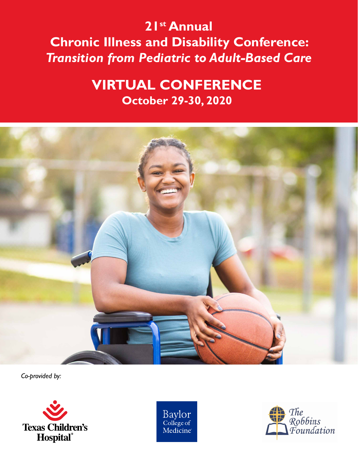# **21st Annual Chronic Illness and Disability Conference:**  *Transition from Pediatric to Adult-Based Care*

# **VIRTUAL CONFERENCE October 29-30, 2020**



*Co-provided by:*



Baylor<br>College of Medicine

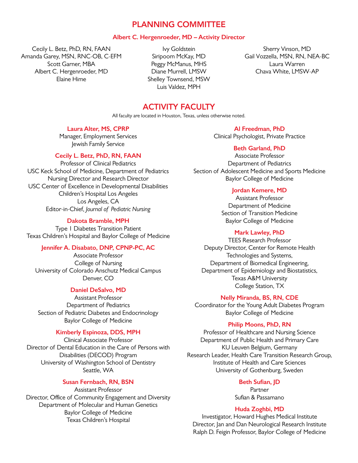## PLANNING COMMITTEE

#### **Albert C. Hergenroeder, MD – Activity Director**

Cecily L. Betz, PhD, RN, FAAN Amanda Garey, MSN, RNC-OB, C-EFM Scott Garner, MBA Albert C. Hergenroeder, MD Elaine Hime

Ivy Goldstein Siripoom McKay, MD Peggy McManus, MHS Diane Murrell, LMSW Shelley Townsend, MSW Luis Valdez, MPH

Sherry Vinson, MD Gail Vozzella, MSN, RN, NEA-BC Laura Warren Chava White, LMSW-AP

## ACTIVITY FACULTY

All faculty are located in Houston, Texas, unless otherwise noted.

#### **Laura Alter, MS, CPRP**

Manager, Employment Services Jewish Family Service

#### **Cecily L. Betz, PhD, RN, FAAN**

Professor of Clinical Pediatrics USC Keck School of Medicine, Department of Pediatrics Nursing Director and Research Director USC Center of Excellence in Developmental Disabilities Children's Hospital Los Angeles Los Angeles, CA Editor-in-Chief, *Journal of Pediatric Nursing*

#### **Dakota Bramble, MPH**

Type 1 Diabetes Transition Patient Texas Children's Hospital and Baylor College of Medicine

#### **Jennifer A. Disabato, DNP, CPNP-PC, AC**

Associate Professor College of Nursing University of Colorado Anschutz Medical Campus Denver, CO

#### **Daniel DeSalvo, MD**

Assistant Professor Department of Pediatrics Section of Pediatric Diabetes and Endocrinology Baylor College of Medicine

#### **Kimberly Espinoza, DDS, MPH**

Clinical Associate Professor Director of Dental Education in the Care of Persons with Disabilities (DECOD) Program University of Washington School of Dentistry Seattle, WA

#### **Susan Fernbach, RN, BSN**

Assistant Professor Director, Office of Community Engagement and Diversity Department of Molecular and Human Genetics Baylor College of Medicine Texas Children's Hospital

**Al Freedman, PhD** Clinical Psychologist, Private Practice

#### **Beth Garland, PhD**

Associate Professor Department of Pediatrics Section of Adolescent Medicine and Sports Medicine Baylor College of Medicine

#### **Jordan Kemere, MD**

Assistant Professor Department of Medicine Section of Transition Medicine Baylor College of Medicine

#### **Mark Lawley, PhD**

TEES Research Professor Deputy Director, Center for Remote Health Technologies and Systems, Department of Biomedical Engineering, Department of Epidemiology and Biostatistics, Texas A&M University College Station, TX

#### **Nelly Miranda, BS, RN, CDE**

Coordinator for the Young Adult Diabetes Program Baylor College of Medicine

#### **Philip Moons, PhD, RN**

Professor of Healthcare and Nursing Science Department of Public Health and Primary Care KU Leuven Belgium, Germany Research Leader, Health Care Transition Research Group, Institute of Health and Care Sciences University of Gothenburg, Sweden

#### **Beth Sufian, JD**

Partner Sufian & Passamano

#### **Huda Zoghbi, MD**

Investigator, Howard Hughes Medical Institute Director, Jan and Dan Neurological Research Institute Ralph D. Feigin Professor, Baylor College of Medicine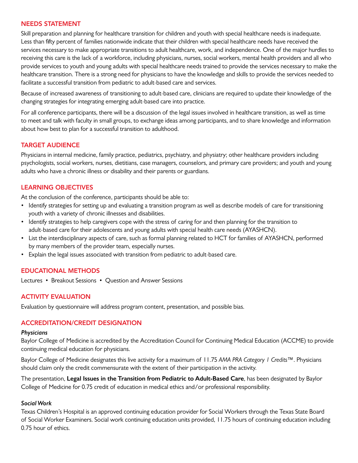## NEEDS STATEMENT

Skill preparation and planning for healthcare transition for children and youth with special healthcare needs is inadequate. Less than fifty percent of families nationwide indicate that their children with special healthcare needs have received the services necessary to make appropriate transitions to adult healthcare, work, and independence. One of the major hurdles to receiving this care is the lack of a workforce, including physicians, nurses, social workers, mental health providers and all who provide services to youth and young adults with special healthcare needs trained to provide the services necessary to make the healthcare transition. There is a strong need for physicians to have the knowledge and skills to provide the services needed to facilitate a successful transition from pediatric to adult-based care and services.

Because of increased awareness of transitioning to adult-based care, clinicians are required to update their knowledge of the changing strategies for integrating emerging adult-based care into practice.

For all conference participants, there will be a discussion of the legal issues involved in healthcare transition, as well as time to meet and talk with faculty in small groups, to exchange ideas among participants, and to share knowledge and information about how best to plan for a successful transition to adulthood.

## TARGET AUDIENCE

Physicians in internal medicine, family practice, pediatrics, psychiatry, and physiatry; other healthcare providers including psychologists, social workers, nurses, dietitians, case managers, counselors, and primary care providers; and youth and young adults who have a chronic illness or disability and their parents or guardians.

## LEARNING OBJECTIVES

At the conclusion of the conference, participants should be able to:

- Identify strategies for setting up and evaluating a transition program as well as describe models of care for transitioning youth with a variety of chronic illnesses and disabilities.
- Identify strategies to help caregivers cope with the stress of caring for and then planning for the transition to adult-based care for their adolescents and young adults with special health care needs (AYASHCN).
- List the interdisciplinary aspects of care, such as formal planning related to HCT for families of AYASHCN, performed by many members of the provider team, especially nurses.
- Explain the legal issues associated with transition from pediatric to adult-based care.

### EDUCATIONAL METHODS

Lectures • Breakout Sessions • Question and Answer Sessions

## ACTIVITY EVALUATION

Evaluation by questionnaire will address program content, presentation, and possible bias.

### ACCREDITATION/CREDIT DESIGNATION

#### *Physicians*

Baylor College of Medicine is accredited by the Accreditation Council for Continuing Medical Education (ACCME) to provide continuing medical education for physicians.

Baylor College of Medicine designates this live activity for a maximum of 11.75 *AMA PRA Category 1 Credits*™. Physicians should claim only the credit commensurate with the extent of their participation in the activity.

The presentation, **Legal Issues in the Transition from Pediatric to Adult-Based Care**, has been designated by Baylor College of Medicine for 0.75 credit of education in medical ethics and/or professional responsibility.

#### *Social Work*

Texas Children's Hospital is an approved continuing education provider for Social Workers through the Texas State Board of Social Worker Examiners. Social work continuing education units provided, 11.75 hours of continuing education including 0.75 hour of ethics.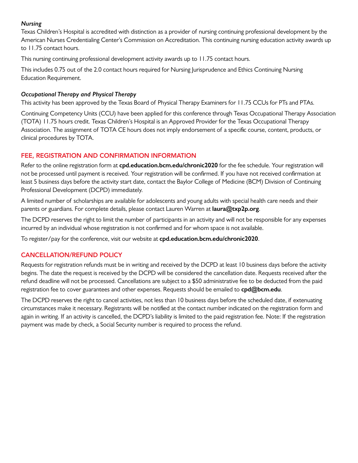## *Nursing*

Texas Children's Hospital is accredited with distinction as a provider of nursing continuing professional development by the American Nurses Credentialing Center's Commission on Accreditation. This continuing nursing education activity awards up to 11.75 contact hours.

This nursing continuing professional development activity awards up to 11.75 contact hours.

This includes 0.75 out of the 2.0 contact hours required for Nursing Jurisprudence and Ethics Continuing Nursing Education Requirement.

## *Occupational Therapy and Physical Therapy*

This activity has been approved by the Texas Board of Physical Therapy Examiners for 11.75 CCUs for PTs and PTAs.

Continuing Competency Units (CCU) have been applied for this conference through Texas Occupational Therapy Association (TOTA) 11.75 hours credit. Texas Children's Hospital is an Approved Provider for the Texas Occupational Therapy Association. The assignment of TOTA CE hours does not imply endorsement of a specific course, content, products, or clinical procedures by TOTA.

## FEE, REGISTRATION AND CONFIRMATION INFORMATION

Refer to the online registration form at **cpd.education.bcm.edu/chronic2020** for the fee schedule. Your registration will not be processed until payment is received. Your registration will be confirmed. If you have not received confirmation at least 5 business days before the activity start date, contact the Baylor College of Medicine (BCM) Division of Continuing Professional Development (DCPD) immediately.

A limited number of scholarships are available for adolescents and young adults with special health care needs and their parents or guardians. For complete details, please contact Lauren Warren at **laura@txp2p.org**.

The DCPD reserves the right to limit the number of participants in an activity and will not be responsible for any expenses incurred by an individual whose registration is not confirmed and for whom space is not available.

To register/pay for the conference, visit our website at **cpd.education.bcm.edu/chronic2020**.

## CANCELLATION/REFUND POLICY

Requests for registration refunds must be in writing and received by the DCPD at least 10 business days before the activity begins. The date the request is received by the DCPD will be considered the cancellation date. Requests received after the refund deadline will not be processed. Cancellations are subject to a \$50 administrative fee to be deducted from the paid registration fee to cover guarantees and other expenses. Requests should be emailed to **cpd@bcm.edu**.

The DCPD reserves the right to cancel activities, not less than 10 business days before the scheduled date, if extenuating circumstances make it necessary. Registrants will be notified at the contact number indicated on the registration form and again in writing. If an activity is cancelled, the DCPD's liability is limited to the paid registration fee. Note: If the registration payment was made by check, a Social Security number is required to process the refund.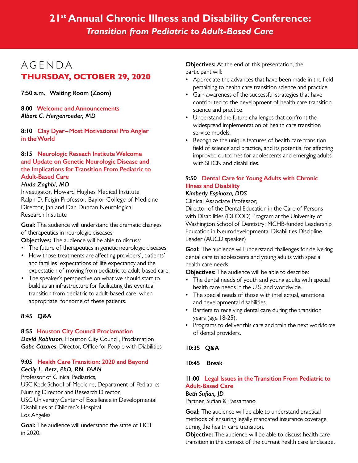## **21st Annual Chronic Illness and Disability Conference:**  *Transition from Pediatric to Adult-Based Care*

## AGENDA **THURSDAY, OCTOBER 29, 2020**

**7:50 a.m. Waiting Room (Zoom)**

**8:00 Welcome and Announcements** *Albert C. Hergenroeder, MD*

**8:10 Clay Dyer–Most Motivational Pro Angler in the World**

## **8:15 Neurologic Reseach Institute Welcome and Update on Genetic Neurologic Disease and the Implications for Transition From Pediatric to Adult-Based Care**

### *Huda Zoghbi, MD*

Investigator, Howard Hughes Medical Institute Ralph D. Feigin Professor, Baylor College of Medicine Director, Jan and Dan Duncan Neurological Research Institute

**Goal:** The audience will understand the dramatic changes of therapeutics in neurologic diseases.

**Objectives:** The audience will be able to discuss:

- The future of therapeutics in genetic neurologic diseases.
- How those treatments are affecting providers', patients' and families' expectations of life expectancy and the expectation of moving from pediatric to adult-based care.
- The speaker's perspective on what we should start to build as an infrastructure for facilitating this eventual transition from pediatric to adult-based care, when appropriate, for some of these patients.

## **8:45 Q&A**

## **8:55 Houston City Council Proclamation**

*David Robinson*, Houston City Council, Proclamation *Gabe Cazares*, Director, Office for People with Diabilities

## **9:05 Health Care Transition: 2020 and Beyond** *Cecily L. Betz, PhD, RN, FAAN*

Professor of Clinical Pediatrics, USC Keck School of Medicine, Department of Pediatrics Nursing Director and Research Director, USC University Center of Excellence in Developmental Disabilities at Children's Hospital

Los Angeles

**Goal:** The audience will understand the state of HCT in 2020.

**Objectives:** At the end of this presentation, the participant will:

- Appreciate the advances that have been made in the field pertaining to health care transition science and practice.
- Gain awareness of the successful strategies that have contributed to the development of health care transition science and practice.
- Understand the future challenges that confront the widespread implementation of health care transition service models.
- Recognize the unique features of health care transition field of science and practice, and its potential for affecting improved outcomes for adolescents and emerging adults with SHCN and disabilities.

## **9:50 Dental Care for Young Adults with Chronic Illness and Disability**

## *Kimberly Espinoza, DDS*

Clinical Associate Professor,

Director of the Dental Education in the Care of Persons with Disabilities (DECOD) Program at the University of Washington School of Dentistry; MCHB-funded Leadership Education in Neurodevelopmental Disabilities Discipline Leader (AUCD speaker)

**Goal:** The audience will understand challenges for delivering dental care to adolescents and young adults with special health care needs.

**Objectives:** The audience will be able to describe:

- The dental needs of youth and young adults with special health care needs in the U.S. and worldwide.
- The special needs of those with intellectual, emotional and developmental disabilities.
- Barriers to receiving dental care during the transition years (age 18-25).
- Programs to deliver this care and train the next workforce of dental providers.

## **10:35 Q&A**

## **10:45 Break**

## **11:00 Legal Issues in the Transition From Pediatric to Adult-Based Care**

#### *Beth Sufian, JD*

Partner, Sufian & Passamano

**Goal:** The audience will be able to understand practical methods of ensuring legally mandated insurance coverage during the health care transition.

**Objective:** The audience will be able to discuss health care transition in the context of the current health care landscape.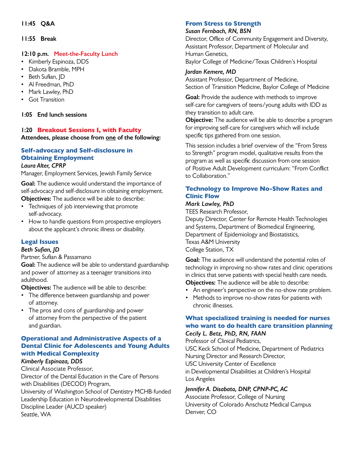## **11:55 Break**

## **12:10 p.m. Meet-the-Faculty Lunch**

- Kimberly Espinoza, DDS
- Dakota Bramble, MPH
- Beth Sufian, ID
- Al Freedman, PhD
- Mark Lawley, PhD
- Got Transition

### **1:05 End lunch sessions**

## **1:20 Breakout Sessions I, with Faculty Attendees, please choose from one of the following:**

## **Self-advocacy and Self-disclosure in Obtaining Employment**

### *Laura Alter, CPRP*

Manager, Employment Services, Jewish Family Service

**Goal:** The audience would understand the importance of self-advocacy and self-disclosure in obtaining employment. **Objectives:** The audience will be able to describe:

- Techniques of job interviewing that promote self-advocacy.
- How to handle questions from prospective employers about the applicant's chronic illness or disability.

## **Legal Issues**

### *Beth Sufian, JD*

Partner, Sufian & Passamano

**Goal:** The audience will be able to understand guardianship and power of attorney as a teenager transitions into adulthood.

**Objectives:** The audience will be able to describe:

- The difference between guardianship and power of attorney.
- The pros and cons of guardianship and power of attorney from the perspective of the patient and guardian.

## **Operational and Administrative Aspects of a Dental Clinic for Adolescents and Young Adults with Medical Complexity**

## *Kimberly Espinoza, DDS*

Clinical Associate Professor, Director of the Dental Education in the Care of Persons with Disabilities (DECOD) Program,

University of Washington School of Dentistry MCHB-funded Leadership Education in Neurodevelopmental Disabilities Discipline Leader (AUCD speaker) Seattle, WA

## **From Stress to Strength**

#### *Susan Fernbach, RN, BSN*

Director, Office of Community Engagement and Diversity, Assistant Professor, Department of Molecular and Human Genetics, Baylor College of Medicine/Texas Children's Hospital

## *Jordan Kemere, MD*

Assistant Professor, Department of Medicine, Section of Transition Medicine, Baylor College of Medicine

**Goal:** Provide the audience with methods to improve self-care for caregivers of teens/young adults with IDD as they transition to adult care.

**Objective:** The audience will be able to describe a program for improving self-care for caregivers which will include specific tips gathered from one session.

This session includes a brief overview of the "From Stress to Strength" program model, qualitative results from the program as well as specific discussion from one session of Positive Adult Development curriculum: "From Conflict to Collaboration."

## **Technology to Improve No-Show Rates and Clinic Flow**

## *Mark Lawley, PhD*

TEES Research Professor,

Deputy Director, Center for Remote Health Technologies and Systems, Department of Biomedical Engineering, Department of Epidemiology and Biostatistics, Texas A&M University College Station, TX

**Goal:** The audience will understand the potential roles of technology in improving no-show rates and clinic operations in clinics that serve patients with special health care needs. **Objectives:** The audience will be able to describe:

• An engineer's perspective on the no-show rate problem.

• Methods to improve no-show rates for patients with chronic illnesses.

## **What specialized training is needed for nurses who want to do health care transition planning** *Cecily L. Betz, PhD, RN, FAAN*

Professor of Clinical Pediatrics, USC Keck School of Medicine, Department of Pediatrics Nursing Director and Research Director, USC University Center of Excellence in Developmental Disabilities at Children's Hospital Los Angeles

## *Jennifer A. Disabato, DNP, CPNP-PC, AC*

Associate Professor, College of Nursing University of Colorado Anschutz Medical Campus Denver, CO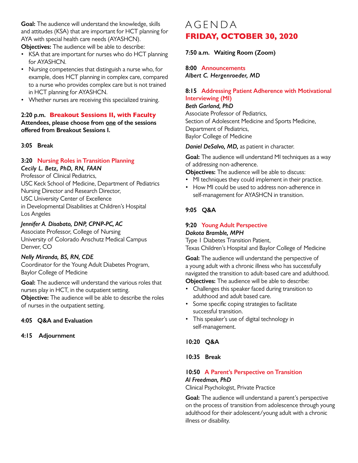**Goal:** The audience will understand the knowledge, skills and attitudes (KSA) that are important for HCT planning for AYA with special health care needs (AYASHCN).

**Objectives:** The audience will be able to describe:

- KSA that are important for nurses who do HCT planning for AYASHCN.
- Nursing competencies that distinguish a nurse who, for example, does HCT planning in complex care, compared to a nurse who provides complex care but is not trained in HCT planning for AYASHCN.
- Whether nurses are receiving this specialized training.

#### **2:20 p.m. Breakout Sessions II, with Faculty Attendees, please choose from one of the sessions offered from Breakout Sessions I.**

### **3:05 Break**

### **3:20 Nursing Roles in Transition Planning**

#### *Cecily L. Betz, PhD, RN, FAAN*

Professor of Clinical Pediatrics, USC Keck School of Medicine, Department of Pediatrics Nursing Director and Research Director, USC University Center of Excellence in Developmental Disabilities at Children's Hospital Los Angeles

### *Jennifer A. Disabato, DNP, CPNP-PC, AC*

Associate Professor, College of Nursing University of Colorado Anschutz Medical Campus Denver, CO

### *Nelly Miranda, BS, RN, CDE*

Coordinator for the Young Adult Diabetes Program, Baylor College of Medicine

**Goal:** The audience will understand the various roles that nurses play in HCT, in the outpatient setting.

**Objective:** The audience will be able to describe the roles of nurses in the outpatient setting.

### **4:05 Q&A and Evaluation**

#### **4:15 Adjournment**

## AGENDA **FRIDAY, OCTOBER 30, 2020**

**7:50 a.m. Waiting Room (Zoom)**

**8:00 Announcements**

*Albert C. Hergenroeder, MD*

## **8:15 Addressing Patient Adherence with Motivational Interviewing (MI)**

#### *Beth Garland, PhD*

Associate Professor of Pediatrics, Section of Adolescent Medicine and Sports Medicine, Department of Pediatrics, Baylor College of Medicine

*Daniel DeSalvo, MD,* as patient in character.

**Goal:** The audience will understand MI techniques as a way of addressing non-adherence.

**Objectives:** The audience will be able to discuss:

- MI techniques they could implement in their practice.
- How MI could be used to address non-adherence in self-management for AYASHCN in transition.

## **9:05 Q&A**

#### **9:20 Young Adult Perspective** *Dakota Bramble, MPH*

Type 1 Diabetes Transition Patient,

Texas Children's Hospital and Baylor College of Medicine

**Goal:** The audience will understand the perspective of a young adult with a chronic illness who has successfully navigated the transition to adult-based care and adulthood. **Objectives:** The audience will be able to describe:

• Challenges this speaker faced during transition to adulthood and adult based care.

- Some specific coping strategies to facilitate successful transition.
- This speaker's use of digital technology in self-management.

### **10:20 Q&A**

#### **10:35 Break**

## **10:50 A Parent's Perspective on Transition** *Al Freedman, PhD*

Clinical Psychologist, Private Practice

**Goal:** The audience will understand a parent's perspective on the process of transition from adolescence through young adulthood for their adolescent/young adult with a chronic illness or disability.